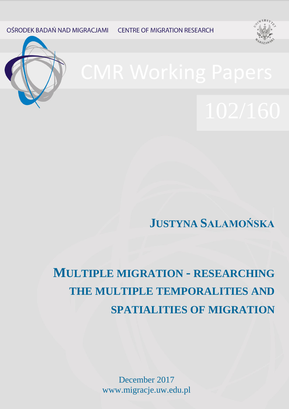OŚRODEK BADAŃ NAD MIGRACJAMI

**CENTRE OF MIGRATION RESEARCH** 





**JUSTYNA SALAMOŃSKA**

# **MULTIPLE MIGRATION - RESEARCHING THE MULTIPLE TEMPORALITIES AND SPATIALITIES OF MIGRATION**

December 2017 www.migracje.uw.edu.pl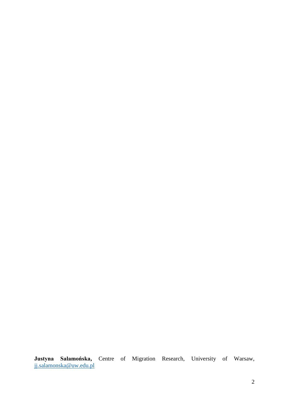**Justyna Salamońska,** Centre of Migration Research, University of Warsaw, [jj.salamonska@uw.edu.pl](mailto:jj.salamonska@uw.edu.pl)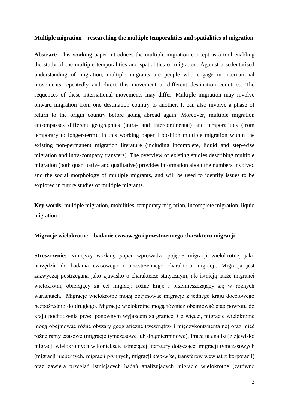# **Multiple migration – researching the multiple temporalities and spatialities of migration**

**Abstract:** This working paper introduces the multiple-migration concept as a tool enabling the study of the multiple temporalities and spatialities of migration. Against a sedentarised understanding of migration, multiple migrants are people who engage in international movements repeatedly and direct this movement at different destination countries. The sequences of these international movements may differ. Multiple migration may involve onward migration from one destination country to another. It can also involve a phase of return to the origin country before going abroad again. Moreover, multiple migration encompasses different geographies (intra- and intercontinental) and temporalities (from temporary to longer-term). In this working paper I position multiple migration within the existing non-permanent migration literature (including incomplete, liquid and step-wise migration and intra-company transfers). The overview of existing studies describing multiple migration (both quantitative and qualitative) provides information about the numbers involved and the social morphology of multiple migrants, and will be used to identify issues to be explored in future studies of multiple migrants.

**Key words:** multiple migration, mobilities, temporary migration, incomplete migration, liquid migration

#### **Migracje wielokrotne – badanie czasowego i przestrzennego charakteru migracji**

**Streszczenie:** Niniejszy *working paper* wprowadza pojęcie migracji wielokrotnej jako narzędzia do badania czasowego i przestrzennego charakteru migracji. Migracja jest zazwyczaj postrzegana jako zjawisko o charakterze statycznym, ale istnieją także migranci wielokrotni, obierający za cel migracji różne kraje i przemieszczający się w różnych wariantach. Migracje wielokrotne mogą obejmować migracje z jednego kraju docelowego bezpośrednio do drugiego. Migracje wielokrotne mogą również obejmować etap powrotu do kraju pochodzenia przed ponownym wyjazdem za granicę. Co więcej, migracje wielokrotne mogą obejmować różne obszary geograficzne (wewnątrz- i międzykontynentalne) oraz mieć różne ramy czasowe (migracje tymczasowe lub długoterminowe). Praca ta analizuje zjawisko migracji wielokrotnych w kontekście istniejącej literatury dotyczącej migracji tymczasowych (migracji niepełnych, migracji płynnych, migracji *step-wise*, transferów wewnątrz korporacji) oraz zawiera przegląd istniejących badań analizujących migracje wielokrotne (zarówno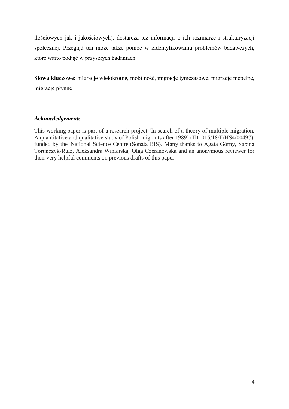ilościowych jak i jakościowych), dostarcza też informacji o ich rozmiarze i strukturyzacji społecznej. Przegląd ten może także pomóc w zidentyfikowaniu problemów badawczych, które warto podjąć w przyszłych badaniach.

**Słowa kluczowe:** migracje wielokrotne, mobilność, migracje tymczasowe, migracje niepełne, migracje płynne

# *Acknowledgements*

This working paper is part of a research project 'In search of a theory of multiple migration. A quantitative and qualitative study of Polish migrants after 1989' (ID: 015/18/E/HS4/00497), funded by the National Science Centre (Sonata BIS). Many thanks to Agata Górny, Sabina Toruńczyk-Ruiz, Aleksandra Winiarska, Olga Czeranowska and an anonymous reviewer for their very helpful comments on previous drafts of this paper.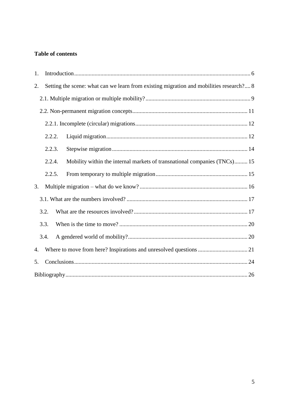# **Table of contents**

| 1. |        |                                                                                         |
|----|--------|-----------------------------------------------------------------------------------------|
| 2. |        | Setting the scene: what can we learn from existing migration and mobilities research? 8 |
|    |        |                                                                                         |
|    |        |                                                                                         |
|    |        |                                                                                         |
|    | 2.2.2. |                                                                                         |
|    | 2.2.3. |                                                                                         |
|    | 2.2.4. | Mobility within the internal markets of transnational companies (TNCs) 15               |
|    | 2.2.5. |                                                                                         |
| 3. |        |                                                                                         |
|    |        |                                                                                         |
|    | 3.3.   |                                                                                         |
|    | 3.4.   |                                                                                         |
| 4. |        |                                                                                         |
| 5. |        |                                                                                         |
|    |        |                                                                                         |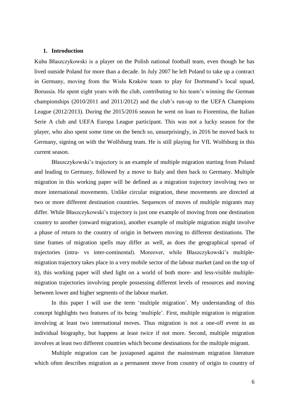## <span id="page-5-0"></span>**1. Introduction**

Kuba Błaszczykowski is a player on the Polish national football team, even though he has lived outside Poland for more than a decade. In July 2007 he left Poland to take up a contract in Germany, moving from the Wisła Kraków team to play for Dortmund's local squad, Borussia. He spent eight years with the club, contributing to his team's winning the German championships (2010/2011 and 2011/2012) and the club's run-up to the UEFA Champions League (2012/2013). During the 2015/2016 season he went on loan to Fiorentina, the Italian Serie A club and UEFA Europa League participant. This was not a lucky season for the player, who also spent some time on the bench so, unsurprisingly, in 2016 he moved back to Germany, signing on with the Wolfsburg team. He is still playing for VfL Wolfsburg in this current season.

Błaszczykowski's trajectory is an example of multiple migration starting from Poland and leading to Germany, followed by a move to Italy and then back to Germany. Multiple migration in this working paper will be defined as a migration trajectory involving two or more international movements. Unlike circular migration, these movements are directed at two or more different destination countries. Sequences of moves of multiple migrants may differ. While Błaszczykowski's trajectory is just one example of moving from one destination country to another (onward migration), another example of multiple migration might involve a phase of return to the country of origin in between moving to different destinations. The time frames of migration spells may differ as well, as does the geographical spread of trajectories (intra- vs inter-continental). Moreover, while Błaszczykowski's multiplemigration trajectory takes place in a very mobile sector of the labour market (and on the top of it), this working paper will shed light on a world of both more- and less-visible multiplemigration trajectories involving people possessing different levels of resources and moving between lower and higher segments of the labour market.

In this paper I will use the term 'multiple migration'. My understanding of this concept highlights two features of its being 'multiple'. First, multiple migration is migration involving at least two international moves. Thus migration is not a one-off event in an individual biography, but happens at least twice if not more. Second, multiple migration involves at least two different countries which become destinations for the multiple migrant.

Multiple migration can be juxtaposed against the mainstream migration literature which often describes migration as a permanent move from country of origin to country of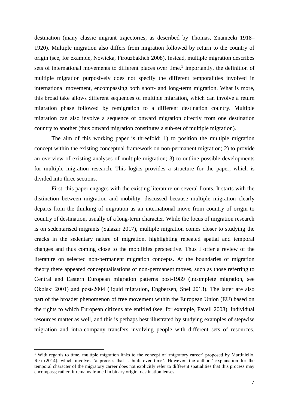destination (many classic migrant trajectories, as described by Thomas, Znaniecki 1918– 1920). Multiple migration also differs from migration followed by return to the country of origin (see, for example, Nowicka, Firouzbakhch 2008). Instead, multiple migration describes sets of international movements to different places over time.<sup>1</sup> Importantly, the definition of multiple migration purposively does not specify the different temporalities involved in international movement, encompassing both short- and long-term migration. What is more, this broad take allows different sequences of multiple migration, which can involve a return migration phase followed by remigration to a different destination country. Multiple migration can also involve a sequence of onward migration directly from one destination country to another (thus onward migration constitutes a sub-set of multiple migration).

The aim of this working paper is threefold: 1) to position the multiple migration concept within the existing conceptual framework on non-permanent migration; 2) to provide an overview of existing analyses of multiple migration; 3) to outline possible developments for multiple migration research. This logics provides a structure for the paper, which is divided into three sections.

First, this paper engages with the existing literature on several fronts. It starts with the distinction between migration and mobility, discussed because multiple migration clearly departs from the thinking of migration as an international move from country of origin to country of destination, usually of a long-term character. While the focus of migration research is on sedentarised migrants (Salazar 2017), multiple migration comes closer to studying the cracks in the sedentary nature of migration, highlighting repeated spatial and temporal changes and thus coming close to the mobilities perspective. Thus I offer a review of the literature on selected non-permanent migration concepts. At the boundaries of migration theory there appeared conceptualisations of non-permanent moves, such as those referring to Central and Eastern European migration patterns post-1989 (incomplete migration, see Okólski 2001) and post-2004 (liquid migration, Engbersen, Snel 2013). The latter are also part of the broader phenomenon of free movement within the European Union (EU) based on the rights to which European citizens are entitled (see, for example, Favell 2008). Individual resources matter as well, and this is perhaps best illustrated by studying examples of stepwise migration and intra-company transfers involving people with different sets of resources.

1

<sup>&</sup>lt;sup>1</sup> With regards to time, multiple migration links to the concept of 'migratory career' proposed by Martiniello, Rea (2014), which involves 'a process that is built over time'. However, the authors' explanation for the temporal character of the migratory career does not explicitly refer to different spatialities that this process may encompass; rather, it remains framed in binary origin–destination lenses.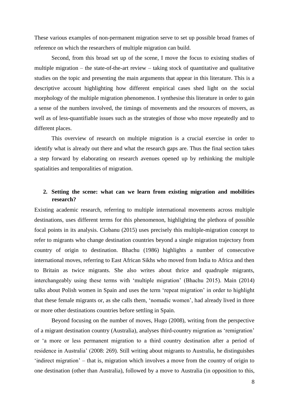These various examples of non-permanent migration serve to set up possible broad frames of reference on which the researchers of multiple migration can build.

Second, from this broad set up of the scene, I move the focus to existing studies of multiple migration – the state-of-the-art review – taking stock of quantitative and qualitative studies on the topic and presenting the main arguments that appear in this literature. This is a descriptive account highlighting how different empirical cases shed light on the social morphology of the multiple migration phenomenon. I synthesise this literature in order to gain a sense of the numbers involved, the timings of movements and the resources of movers, as well as of less-quantifiable issues such as the strategies of those who move repeatedly and to different places.

This overview of research on multiple migration is a crucial exercise in order to identify what is already out there and what the research gaps are. Thus the final section takes a step forward by elaborating on research avenues opened up by rethinking the multiple spatialities and temporalities of migration.

## <span id="page-7-0"></span>**2. Setting the scene: what can we learn from existing migration and mobilities research?**

Existing academic research, referring to multiple international movements across multiple destinations, uses different terms for this phenomenon, highlighting the plethora of possible focal points in its analysis. Ciobanu (2015) uses precisely this multiple-migration concept to refer to migrants who change destination countries beyond a single migration trajectory from country of origin to destination. Bhachu (1986) highlights a number of consecutive international moves, referring to East African Sikhs who moved from India to Africa and then to Britain as twice migrants. She also writes about thrice and quadruple migrants, interchangeably using these terms with 'multiple migration' (Bhachu 2015). Main (2014) talks about Polish women in Spain and uses the term 'repeat migration' in order to highlight that these female migrants or, as she calls them, 'nomadic women', had already lived in three or more other destinations countries before settling in Spain.

Beyond focusing on the number of moves, Hugo (2008), writing from the perspective of a migrant destination country (Australia), analyses third-country migration as 'remigration' or 'a more or less permanent migration to a third country destination after a period of residence in Australia' (2008: 269). Still writing about migrants to Australia, he distinguishes 'indirect migration' – that is, migration which involves a move from the country of origin to one destination (other than Australia), followed by a move to Australia (in opposition to this,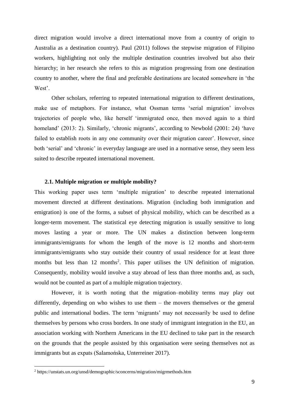direct migration would involve a direct international move from a country of origin to Australia as a destination country). Paul (2011) follows the stepwise migration of Filipino workers, highlighting not only the multiple destination countries involved but also their hierarchy; in her research she refers to this as migration progressing from one destination country to another, where the final and preferable destinations are located somewhere in 'the West'.

Other scholars, referring to repeated international migration to different destinations, make use of metaphors. For instance, what Ossman terms 'serial migration' involves trajectories of people who, like herself 'immigrated once, then moved again to a third homeland' (2013: 2). Similarly, 'chronic migrants', according to Newbold (2001: 24) 'have failed to establish roots in any one community over their migration career'. However, since both 'serial' and 'chronic' in everyday language are used in a normative sense, they seem less suited to describe repeated international movement.

#### <span id="page-8-0"></span>**2.1. Multiple migration or multiple mobility?**

This working paper uses term 'multiple migration' to describe repeated international movement directed at different destinations. Migration (including both immigration and emigration) is one of the forms, a subset of physical mobility, which can be described as a longer-term movement. The statistical eye detecting migration is usually sensitive to long moves lasting a year or more. The UN makes a distinction between long-term immigrants/emigrants for whom the length of the move is 12 months and short-term immigrants/emigrants who stay outside their country of usual residence for at least three months but less than 12 months<sup>2</sup>. This paper utilises the UN definition of migration. Consequently, mobility would involve a stay abroad of less than three months and, as such, would not be counted as part of a multiple migration trajectory.

However, it is worth noting that the migration–mobility terms may play out differently, depending on who wishes to use them – the movers themselves or the general public and international bodies. The term 'migrants' may not necessarily be used to define themselves by persons who cross borders. In one study of immigrant integration in the EU, an association working with Northern Americans in the EU declined to take part in the research on the grounds that the people assisted by this organisation were seeing themselves not as immigrants but as expats (Salamońska, Unterreiner 2017).

1

<sup>2</sup> https://unstats.un.org/unsd/demographic/sconcerns/migration/migrmethods.htm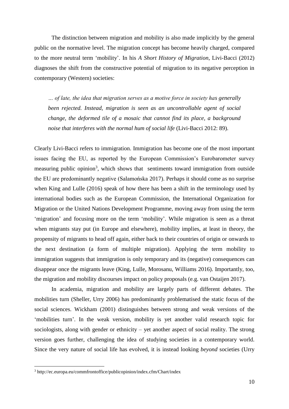The distinction between migration and mobility is also made implicitly by the general public on the normative level. The migration concept has become heavily charged, compared to the more neutral term 'mobility'. In his *A Short History of Migration*, Livi-Bacci (2012) diagnoses the shift from the constructive potential of migration to its negative perception in contemporary (Western) societies:

*… of late, the idea that migration serves as a motive force in society has generally been rejected. Instead, migration is seen as an uncontrollable agent of social change, the deformed tile of a mosaic that cannot find its place, a background noise that interferes with the normal hum of social life* (Livi-Bacci 2012: 89).

Clearly Livi-Bacci refers to immigration. Immigration has become one of the most important issues facing the EU, as reported by the European Commission's Eurobarometer survey measuring public opinion<sup>3</sup>, which shows that sentiments toward immigration from outside the EU are predominantly negative (Salamońska 2017). Perhaps it should come as no surprise when King and Lulle (2016) speak of how there has been a shift in the terminology used by international bodies such as the European Commission, the International Organization for Migration or the United Nations Development Programme, moving away from using the term 'migration' and focusing more on the term 'mobility'. While migration is seen as a threat when migrants stay put (in Europe and elsewhere), mobility implies, at least in theory, the propensity of migrants to head off again, either back to their countries of origin or onwards to the next destination (a form of multiple migration). Applying the term mobility to immigration suggests that immigration is only temporary and its (negative) consequences can disappear once the migrants leave (King, Lulle, Morosanu, Williams 2016). Importantly, too, the migration and mobility discourses impact on policy proposals (e.g. van Ostaijen 2017).

In academia, migration and mobility are largely parts of different debates. The mobilities turn (Sheller, Urry 2006) has predominantly problematised the static focus of the social sciences. Wickham (2001) distinguishes between strong and weak versions of the 'mobilities turn'. In the weak version, mobility is yet another valid research topic for sociologists, along with gender or ethnicity – yet another aspect of social reality. The strong version goes further, challenging the idea of studying societies in a contemporary world. Since the very nature of social life has evolved, it is instead looking *beyond* societies (Urry

1

<sup>3</sup> http://ec.europa.eu/commfrontoffice/publicopinion/index.cfm/Chart/index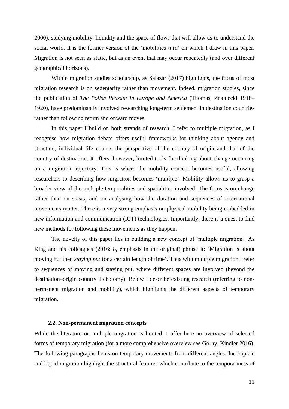2000), studying mobility, liquidity and the space of flows that will allow us to understand the social world. It is the former version of the 'mobilities turn' on which I draw in this paper. Migration is not seen as static, but as an event that may occur repeatedly (and over different geographical horizons).

Within migration studies scholarship, as Salazar (2017) highlights, the focus of most migration research is on sedentarity rather than movement. Indeed, migration studies, since the publication of *The Polish Peasant in Europe and America* (Thomas, Znaniecki 1918– 1920), have predominantly involved researching long-term settlement in destination countries rather than following return and onward moves.

In this paper I build on both strands of research. I refer to multiple migration, as I recognise how migration debate offers useful frameworks for thinking about agency and structure, individual life course, the perspective of the country of origin and that of the country of destination. It offers, however, limited tools for thinking about change occurring on a migration trajectory. This is where the mobility concept becomes useful, allowing researchers to describing how migration becomes 'multiple'. Mobility allows us to grasp a broader view of the multiple temporalities and spatialities involved. The focus is on change rather than on stasis, and on analysing how the duration and sequences of international movements matter. There is a very strong emphasis on physical mobility being embedded in new information and communication (ICT) technologies. Importantly, there is a quest to find new methods for following these movements as they happen.

The novelty of this paper lies in building a new concept of 'multiple migration'. As King and his colleagues (2016: 8, emphasis in the original) phrase it: 'Migration is about moving but then *staying put* for a certain length of time'. Thus with multiple migration I refer to sequences of moving and staying put, where different spaces are involved (beyond the destination–origin country dichotomy). Below I describe existing research (referring to nonpermanent migration and mobility), which highlights the different aspects of temporary migration.

#### **2.2. Non-permanent migration concepts**

<span id="page-10-0"></span>While the literature on multiple migration is limited, I offer here an overview of selected forms of temporary migration (for a more comprehensive overview see Górny, Kindler 2016). The following paragraphs focus on temporary movements from different angles. Incomplete and liquid migration highlight the structural features which contribute to the temporariness of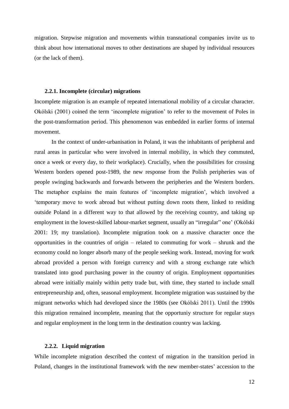migration. Stepwise migration and movements within transnational companies invite us to think about how international moves to other destinations are shaped by individual resources (or the lack of them).

#### <span id="page-11-0"></span>**2.2.1. Incomplete (circular) migrations**

Incomplete migration is an example of repeated international mobility of a circular character. Okólski (2001) coined the term 'incomplete migration' to refer to the movement of Poles in the post-transformation period. This phenomenon was embedded in earlier forms of internal movement.

In the context of under-urbanisation in Poland, it was the inhabitants of peripheral and rural areas in particular who were involved in internal mobility, in which they commuted, once a week or every day, to their workplace). Crucially, when the possibilities for crossing Western borders opened post-1989, the new response from the Polish peripheries was of people swinging backwards and forwards between the peripheries and the Western borders. The metaphor explains the main features of 'incomplete migration', which involved a 'temporary move to work abroad but without putting down roots there, linked to residing outside Poland in a different way to that allowed by the receiving country, and taking up employment in the lowest-skilled labour-market segment, usually an "irregular" one' (Okólski 2001: 19; my translation). Incomplete migration took on a massive character once the opportunities in the countries of origin – related to commuting for work – shrunk and the economy could no longer absorb many of the people seeking work. Instead, moving for work abroad provided a person with foreign currency and with a strong exchange rate which translated into good purchasing power in the country of origin. Employment opportunities abroad were initially mainly within petty trade but, with time, they started to include small entrepreneurship and, often, seasonal employment. Incomplete migration was sustained by the migrant networks which had developed since the 1980s (see Okólski 2011). Until the 1990s this migration remained incomplete, meaning that the opportuniy structure for regular stays and regular employment in the long term in the destination country was lacking.

#### <span id="page-11-1"></span>**2.2.2. Liquid migration**

While incomplete migration described the context of migration in the transition period in Poland, changes in the institutional framework with the new member-states' accession to the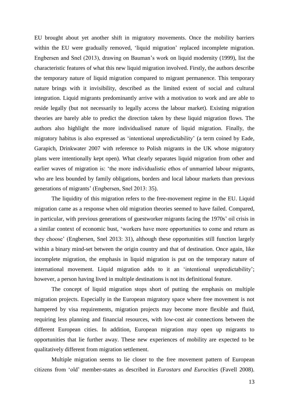EU brought about yet another shift in migratory movements. Once the mobility barriers within the EU were gradually removed, 'liquid migration' replaced incomplete migration. Engbersen and Snel (2013), drawing on Bauman's work on liquid modernity (1999), list the characteristic features of what this new liquid migration involved. Firstly, the authors describe the temporary nature of liquid migration compared to migrant permanence. This temporary nature brings with it invisibility, described as the limited extent of social and cultural integration. Liquid migrants predominantly arrive with a motivation to work and are able to reside legally (but not necessarily to legally access the labour market). Existing migration theories are barely able to predict the direction taken by these liquid migration flows. The authors also highlight the more individualised nature of liquid migration. Finally, the migratory habitus is also expressed as 'intentional unpredictability' (a term coined by Eade, Garapich, Drinkwater 2007 with reference to Polish migrants in the UK whose migratory plans were intentionally kept open). What clearly separates liquid migration from other and earlier waves of migration is: 'the more individualistic ethos of unmarried labour migrants, who are less bounded by family obligations, borders and local labour markets than previous generations of migrants' (Engbersen, Snel 2013: 35).

The liquidity of this migration refers to the free-movement regime in the EU. Liquid migration came as a response when old migration theories seemed to have failed. Compared, in particular, with previous generations of guestworker migrants facing the 1970s' oil crisis in a similar context of economic bust, 'workers have more opportunities to come and return as they choose' (Engbersen, Snel 2013: 31), although these opportunities still function largely within a binary mind-set between the origin country and that of destination. Once again, like incomplete migration, the emphasis in liquid migration is put on the temporary nature of international movement. Liquid migration adds to it an 'intentional unpredictability'; however, a person having lived in multiple destinations is not its definitional feature.

The concept of liquid migration stops short of putting the emphasis on multiple migration projects. Especially in the European migratory space where free movement is not hampered by visa requirements, migration projects may become more flexible and fluid, requiring less planning and financial resources, with low-cost air connections between the different European cities. In addition, European migration may open up migrants to opportunities that lie further away. These new experiences of mobility are expected to be qualitatively different from migration settlement.

Multiple migration seems to lie closer to the free movement pattern of European citizens from 'old' member-states as described in *Eurostars and Eurocities* (Favell 2008).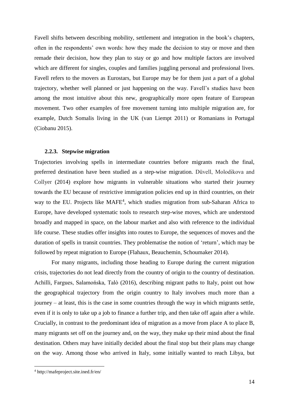Favell shifts between describing mobility, settlement and integration in the book's chapters, often in the respondents' own words: how they made the decision to stay or move and then remade their decision, how they plan to stay or go and how multiple factors are involved which are different for singles, couples and families juggling personal and professional lives. Favell refers to the movers as Eurostars, but Europe may be for them just a part of a global trajectory, whether well planned or just happening on the way. Favell's studies have been among the most intuitive about this new, geographically more open feature of European movement. Two other examples of free movement turning into multiple migration are, for example, Dutch Somalis living in the UK (van Liempt 2011) or Romanians in Portugal (Ciobanu 2015).

#### <span id="page-13-0"></span>**2.2.3. Stepwise migration**

Trajectories involving spells in intermediate countries before migrants reach the final, preferred destination have been studied as a step-wise migration. Düvell, Molodikova and Collyer (2014) explore how migrants in vulnerable situations who started their journey towards the EU because of restrictive immigration policies end up in third countries, on their way to the EU. Projects like MAFE<sup>4</sup>, which studies migration from sub-Saharan Africa to Europe, have developed systematic tools to research step-wise moves, which are understood broadly and mapped in space, on the labour market and also with reference to the individual life course. These studies offer insights into routes to Europe, the sequences of moves and the duration of spells in transit countries. They problematise the notion of 'return', which may be followed by repeat migration to Europe (Flahaux, Beauchemin, Schoumaker 2014).

For many migrants, including those heading to Europe during the current migration crisis, trajectories do not lead directly from the country of origin to the country of destination. Achilli, Fargues, Salamońska, Talò (2016), describing migrant paths to Italy, point out how the geographical trajectory from the origin country to Italy involves much more than a journey – at least, this is the case in some countries through the way in which migrants settle, even if it is only to take up a job to finance a further trip, and then take off again after a while. Crucially, in contrast to the predominant idea of migration as a move from place A to place B, many migrants set off on the journey and, on the way, they make up their mind about the final destination. Others may have initially decided about the final stop but their plans may change on the way. Among those who arrived in Italy, some initially wanted to reach Libya, but

1

<sup>4</sup> http://mafeproject.site.ined.fr/en/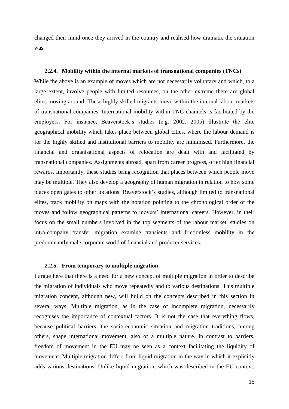changed their mind once they arrived in the country and realised how dramatic the situation was.

#### <span id="page-14-0"></span>**2.2.4. Mobility within the internal markets of transnational companies (TNCs)**

While the above is an example of moves which are not necessarily voluntary and which, to a large extent, involve people with limited resources, on the other extreme there are global elites moving around. These highly skilled migrants move within the internal labour markets of transnational companies. International mobility within TNC channels is facilitated by the employers. For instance, Beaverstock's studies (e.g. 2002, 2005) illustrate the elite geographical mobility which takes place between global cities, where the labour demand is for the highly skilled and institutional barriers to mobility are minimised. Furthermore, the financial and organisational aspects of relocation are dealt with and facilitated by transnational companies. Assignments abroad, apart from career progress, offer high financial rewards. Importantly, these studies bring recognition that places between which people move may be multiple. They also develop a geography of human migration in relation to how some places open gates to other locations. Beaverstock's studies, although limited to transnational elites, track mobility on maps with the notation pointing to the chronological order of the moves and follow geographical patterns to movers' international careers. However, in their focus on the small numbers involved in the top segments of the labour market, studies on intra-company transfer migration examine transients and frictionless mobility in the predominantly male corporate world of financial and producer services.

#### <span id="page-14-1"></span>**2.2.5. From temporary to multiple migration**

I argue here that there is a need for a new concept of multiple migration in order to describe the migration of individuals who move repeatedly and to various destinations. This multiple migration concept, although new, will build on the concepts described in this section in several ways. Multiple migration, as in the case of incomplete migration, necessarily recognises the importance of contextual factors. It is not the case that everything flows, because political barriers, the socio-economic situation and migration traditions, among others, shape international movement, also of a multiple nature. In contrast to barriers, freedom of movement in the EU may be seen as a context facilitating the liquidity of movement. Multiple migration differs from liquid migration in the way in which it explicitly adds various destinations. Unlike liquid migration, which was described in the EU context,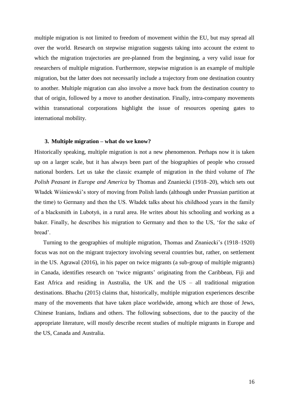multiple migration is not limited to freedom of movement within the EU, but may spread all over the world. Research on stepwise migration suggests taking into account the extent to which the migration trajectories are pre-planned from the beginning, a very valid issue for researchers of multiple migration. Furthermore, stepwise migration is an example of multiple migration, but the latter does not necessarily include a trajectory from one destination country to another. Multiple migration can also involve a move back from the destination country to that of origin, followed by a move to another destination. Finally, intra-company movements within transnational corporations highlight the issue of resources opening gates to international mobility.

#### <span id="page-15-0"></span>**3. Multiple migration – what do we know?**

Historically speaking, multiple migration is not a new phenomenon. Perhaps now it is taken up on a larger scale, but it has always been part of the biographies of people who crossed national borders. Let us take the classic example of migration in the third volume of *The Polish Peasant in Europe and America* by Thomas and Znaniecki (1918–20), which sets out Władek Wiśniewski's story of moving from Polish lands (although under Prussian partition at the time) to Germany and then the US. Władek talks about his childhood years in the family of a blacksmith in Lubotyń, in a rural area. He writes about his schooling and working as a baker. Finally, he describes his migration to Germany and then to the US, 'for the sake of bread'.

Turning to the geographies of multiple migration, Thomas and Znaniecki's (1918–1920) focus was not on the migrant trajectory involving several countries but, rather, on settlement in the US. Agrawal (2016), in his paper on twice migrants (a sub-group of multiple migrants) in Canada, identifies research on 'twice migrants' originating from the Caribbean, Fiji and East Africa and residing in Australia, the UK and the US – all traditional migration destinations. Bhachu (2015) claims that, historically, multiple migration experiences describe many of the movements that have taken place worldwide, among which are those of Jews, Chinese Iranians, Indians and others. The following subsections, due to the paucity of the appropriate literature, will mostly describe recent studies of multiple migrants in Europe and the US, Canada and Australia.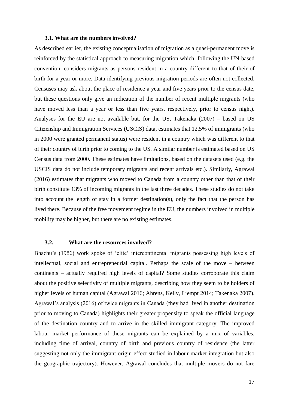#### **3.1. What are the numbers involved?**

<span id="page-16-0"></span>As described earlier, the existing conceptualisation of migration as a quasi-permanent move is reinforced by the statistical approach to measuring migration which, following the UN-based convention, considers migrants as persons resident in a country different to that of their of birth for a year or more. Data identifying previous migration periods are often not collected. Censuses may ask about the place of residence a year and five years prior to the census date, but these questions only give an indication of the number of recent multiple migrants (who have moved less than a year or less than five years, respectively, prior to census night). Analyses for the EU are not available but, for the US, Takenaka (2007) – based on US Citizenship and Immigration Services (USCIS) data, estimates that 12.5% of immigrants (who in 2000 were granted permanent status) were resident in a country which was different to that of their country of birth prior to coming to the US. A similar number is estimated based on US Census data from 2000. These estimates have limitations, based on the datasets used (e.g. the USCIS data do not include temporary migrants and recent arrivals etc.). Similarly, Agrawal (2016) estimates that migrants who moved to Canada from a country other than that of their birth constitute 13% of incoming migrants in the last three decades. These studies do not take into account the length of stay in a former destination(s), only the fact that the person has lived there. Because of the free movement regime in the EU, the numbers involved in multiple mobility may be higher, but there are no existing estimates.

## <span id="page-16-1"></span>**3.2. What are the resources involved?**

Bhachu's (1986) work spoke of 'elite' intercontinental migrants possessing high levels of intellectual, social and entrepreneurial capital. Perhaps the scale of the move – between continents – actually required high levels of capital? Some studies corroborate this claim about the positive selectivity of multiple migrants, describing how they seem to be holders of higher levels of human capital (Agrawal 2016; Ahrens, Kelly, Liempt 2014; Takenaka 2007). Agrawal's analysis (2016) of twice migrants in Canada (they had lived in another destination prior to moving to Canada) highlights their greater propensity to speak the official language of the destination country and to arrive in the skilled immigrant category. The improved labour market performance of these migrants can be explained by a mix of variables, including time of arrival, country of birth and previous country of residence (the latter suggesting not only the immigrant-origin effect studied in labour market integration but also the geographic trajectory). However, Agrawal concludes that multiple movers do not fare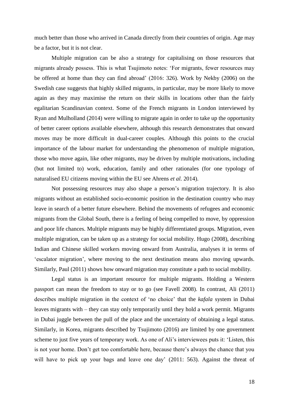much better than those who arrived in Canada directly from their countries of origin. Age may be a factor, but it is not clear.

Multiple migration can be also a strategy for capitalising on those resources that migrants already possess. This is what Tsujimoto notes: 'For migrants, fewer resources may be offered at home than they can find abroad' (2016: 326). Work by Nekby (2006) on the Swedish case suggests that highly skilled migrants, in particular, may be more likely to move again as they may maximise the return on their skills in locations other than the fairly egalitarian Scandinavian context. Some of the French migrants in London interviewed by Ryan and Mulholland (2014) were willing to migrate again in order to take up the opportunity of better career options available elsewhere, although this research demonstrates that onward moves may be more difficult in dual-career couples. Although this points to the crucial importance of the labour market for understanding the phenomenon of multiple migration, those who move again, like other migrants, may be driven by multiple motivations, including (but not limited to) work, education, family and other rationales (for one typology of naturalised EU citizens moving within the EU see Ahrens *et al.* 2014).

Not possessing resources may also shape a person's migration trajectory. It is also migrants without an established socio-economic position in the destination country who may leave in search of a better future elsewhere. Behind the movements of refugees and economic migrants from the Global South, there is a feeling of being compelled to move, by oppression and poor life chances. Multiple migrants may be highly differentiated groups. Migration, even multiple migration, can be taken up as a strategy for social mobility. Hugo (2008), describing Indian and Chinese skilled workers moving onward from Australia, analyses it in terms of 'escalator migration', where moving to the next destination means also moving upwards. Similarly, Paul (2011) shows how onward migration may constitute a path to social mobility.

Legal status is an important resource for multiple migrants. Holding a Western passport can mean the freedom to stay or to go (see Favell 2008). In contrast, Ali (2011) describes multiple migration in the context of 'no choice' that the *kafala* system in Dubai leaves migrants with – they can stay only temporarily until they hold a work permit. Migrants in Dubai juggle between the pull of the place and the uncertainty of obtaining a legal status. Similarly, in Korea, migrants described by Tsujimoto (2016) are limited by one government scheme to just five years of temporary work. As one of Ali's interviewees puts it: 'Listen, this is not your home. Don't get too comfortable here, because there's always the chance that you will have to pick up your bags and leave one day' (2011: 563). Against the threat of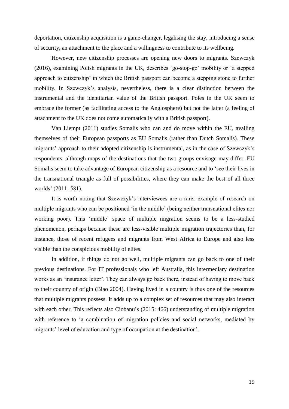deportation, citizenship acquisition is a game-changer, legalising the stay, introducing a sense of security, an attachment to the place and a willingness to contribute to its wellbeing.

However, new citizenship processes are opening new doors to migrants. Szewczyk (2016), examining Polish migrants in the UK, describes 'go-stop-go' mobility or 'a stepped approach to citizenship' in which the British passport can become a stepping stone to further mobility. In Szewczyk's analysis, nevertheless, there is a clear distinction between the instrumental and the identitarian value of the British passport. Poles in the UK seem to embrace the former (as facilitating access to the Anglosphere) but not the latter (a feeling of attachment to the UK does not come automatically with a British passport).

Van Liempt (2011) studies Somalis who can and do move within the EU, availing themselves of their European passports as EU Somalis (rather than Dutch Somalis). These migrants' approach to their adopted citizenship is instrumental, as in the case of Szewczyk's respondents, although maps of the destinations that the two groups envisage may differ. EU Somalis seem to take advantage of European citizenship as a resource and to 'see their lives in the transnational triangle as full of possibilities, where they can make the best of all three worlds' (2011: 581).

It is worth noting that Szewczyk's interviewees are a rarer example of research on multiple migrants who can be positioned 'in the middle' (being neither transnational elites nor working poor). This 'middle' space of multiple migration seems to be a less-studied phenomenon, perhaps because these are less-visible multiple migration trajectories than, for instance, those of recent refugees and migrants from West Africa to Europe and also less visible than the conspicious mobility of elites.

In addition, if things do not go well, multiple migrants can go back to one of their previous destinations. For IT professionals who left Australia, this intermediary destination works as an 'insurance letter'. They can always go back there, instead of having to move back to their country of origin (Biao 2004). Having lived in a country is thus one of the resources that multiple migrants possess. It adds up to a complex set of resources that may also interact with each other. This reflects also Ciobanu's (2015: 466) understanding of multiple migration with reference to 'a combination of migration policies and social networks, mediated by migrants' level of education and type of occupation at the destination'.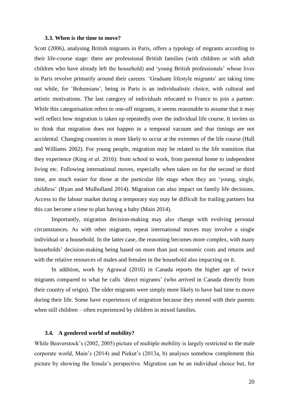#### **3.3. When is the time to move?**

<span id="page-19-0"></span>Scott (2006), analysing British migrants in Paris, offers a typology of migrants according to their life-course stage: there are professional British families (with children or with adult children who have already left the household) and 'young British professionals' whose lives in Paris revolve primarily around their careers. 'Graduate lifestyle migrants' are taking time out while, for 'Bohemians', being in Paris is an individualistic choice, with cultural and artistic motivations. The last category of individuals relocated to France to join a partner. While this categorisation refers to one-off migrants, it seems reasonable to assume that it may well reflect how migration is taken up repeatedly over the individual life course. It invites us to think that migration does not happen in a temporal vacuum and that timings are not accidental. Changing countries is more likely to occur at the extremes of the life course (Hall and Williams 2002). For young people, migration may be related to the life transition that they experience (King *et al.* 2016): from school to work, from parental home to independent living etc. Following international moves, especially when taken on for the second or third time, are much easier for those at the particular life stage when they are 'young, single, childless' (Ryan and Mulholland 2014). Migration can also impact on family life decisions. Access to the labour market during a temporary stay may be difficult for trailing partners but this can become a time to plan having a baby (Main 2014).

Importantly, migration decision-making may also change with evolving personal circumstances. As with other migrants, repeat international moves may involve a single individual or a household. In the latter case, the reasoning becomes more complex, with many households' decision-making being based on more than just economic costs and returns and with the relative resources of males and females in the household also impacting on it.

In addition, work by Agrawal (2016) in Canada reports the higher age of twice migrants compared to what he calls 'direct migrants' (who arrived in Canada directly from their country of origin). The older migrants were simply more likely to have had time to move during their life. Some have experiences of migration because they moved with their parents when still children – often experienced by children in mixed families.

### <span id="page-19-1"></span>**3.4. A gendered world of mobility?**

While Beaverstock's (2002, 2005) picture of multiple mobility is largely restricted to the male corporate world, Main's (2014) and Piekut's (2013a, b) analyses somehow complement this picture by showing the female's perspective. Migration can be an individual choice but, for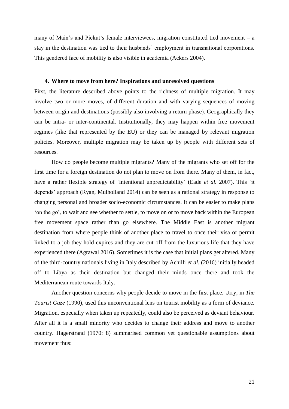many of Main's and Piekut's female interviewees, migration constituted tied movement – a stay in the destination was tied to their husbands' employment in transnational corporations. This gendered face of mobility is also visible in academia (Ackers 2004).

#### <span id="page-20-0"></span>**4. Where to move from here? Inspirations and unresolved questions**

First, the literature described above points to the richness of multiple migration. It may involve two or more moves, of different duration and with varying sequences of moving between origin and destinations (possibly also involving a return phase). Geographically they can be intra- or inter-continental. Institutionally, they may happen within free movement regimes (like that represented by the EU) or they can be managed by relevant migration policies. Moreover, multiple migration may be taken up by people with different sets of resources.

How do people become multiple migrants? Many of the migrants who set off for the first time for a foreign destination do not plan to move on from there. Many of them, in fact, have a rather flexible strategy of 'intentional unpredictability' (Eade *et al.* 2007). This 'it depends' approach (Ryan, Mulholland 2014) can be seen as a rational strategy in response to changing personal and broader socio-economic circumstances. It can be easier to make plans 'on the go', to wait and see whether to settle, to move on or to move back within the European free movement space rather than go elsewhere. The Middle East is another migrant destination from where people think of another place to travel to once their visa or permit linked to a job they hold expires and they are cut off from the luxurious life that they have experienced there (Agrawal 2016). Sometimes it is the case that initial plans get altered. Many of the third-country nationals living in Italy described by Achilli *et al.* (2016) initially headed off to Libya as their destination but changed their minds once there and took the Mediterranean route towards Italy.

Another question concerns why people decide to move in the first place. Urry, in *The Tourist Gaze* (1990), used this unconventional lens on tourist mobility as a form of deviance. Migration, especially when taken up repeatedly, could also be perceived as deviant behaviour. After all it is a small minority who decides to change their address and move to another country. Hagerstrand (1970: 8) summarised common yet questionable assumptions about movement thus: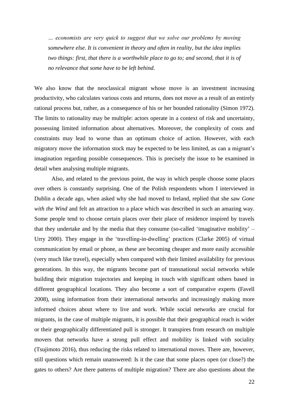*… economists are very quick to suggest that we solve our problems by moving somewhere else. It is convenient in theory and often in reality, but the idea implies two things: first, that there is a worthwhile place to go to; and second, that it is of no relevance that some have to be left behind.*

We also know that the neoclassical migrant whose move is an investment increasing productivity, who calculates various costs and returns, does not move as a result of an entirely rational process but, rather, as a consequence of his or her bounded rationality (Simon 1972). The limits to rationality may be multiple: actors operate in a context of risk and uncertainty, possessing limited information about alternatives. Moreover, the complexity of costs and constraints may lead to worse than an optimum choice of action. However, with each migratory move the information stock may be expected to be less limited, as can a migrant's imagination regarding possible consequences. This is precisely the issue to be examined in detail when analysing multiple migrants.

Also, and related to the previous point, the way in which people choose some places over others is constantly surprising. One of the Polish respondents whom I interviewed in Dublin a decade ago, when asked why she had moved to Ireland, replied that she saw *Gone with the Wind* and felt an attraction to a place which was described in such an amazing way. Some people tend to choose certain places over their place of residence inspired by travels that they undertake and by the media that they consume (so-called 'imaginative mobility' – Urry 2000). They engage in the 'travelling-in-dwelling' practices (Clarke 2005) of virtual communication by email or phone, as these are becoming cheaper and more easily accessible (very much like travel), especially when compared with their limited availability for previous generations. In this way, the migrants become part of transnational social networks while building their migration trajectories and keeping in touch with significant others based in different geographical locations. They also become a sort of comparative experts (Favell 2008), using information from their international networks and increasingly making more informed choices about where to live and work. While social networks are crucial for migrants, in the case of multiple migrants, it is possible that their geographical reach is wider or their geographically differentiated pull is stronger. It transpires from research on multiple movers that networks have a strong pull effect and mobility is linked with sociality (Tsujimoto 2016), thus reducing the risks related to international moves. There are, however, still questions which remain unanswered: Is it the case that some places open (or close?) the gates to others? Are there patterns of multiple migration? There are also questions about the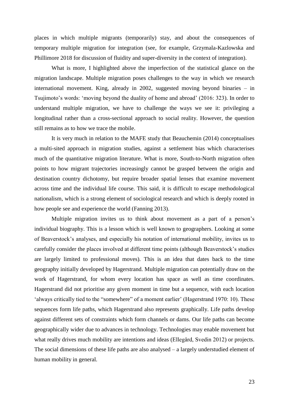places in which multiple migrants (temporarily) stay, and about the consequences of temporary multiple migration for integration (see, for example, Grzymala-Kazlowska and Phillimore 2018 for discussion of fluidity and super-diversity in the context of integration).

What is more, I highlighted above the imperfection of the statistical glance on the migration landscape. Multiple migration poses challenges to the way in which we research international movement. King, already in 2002, suggested moving beyond binaries – in Tsujimoto's words: 'moving beyond the duality of home and abroad' (2016: 323). In order to understand multiple migration, we have to challenge the ways we see it: privileging a longitudinal rather than a cross-sectional approach to social reality. However, the question still remains as to how we trace the mobile.

It is very much in relation to the MAFE study that Beauchemin (2014) conceptualises a multi-sited approach in migration studies, against a settlement bias which characterises much of the quantitative migration literature. What is more, South-to-North migration often points to how migrant trajectories increasingly cannot be grasped between the origin and destination country dichotomy, but require broader spatial lenses that examine movement across time and the individual life course. This said, it is difficult to escape methodological nationalism, which is a strong element of sociological research and which is deeply rooted in how people see and experience the world (Fanning 2013).

Multiple migration invites us to think about movement as a part of a person's individual biography. This is a lesson which is well known to geographers. Looking at some of Beaverstock's analyses, and especially his notation of international mobility, invites us to carefully consider the places involved at different time points (although Beaverstock's studies are largely limited to professional moves). This is an idea that dates back to the time geography initially developed by Hagerstrand. Multiple migration can potentially draw on the work of Hagerstrand, for whom every location has space as well as time coordinates. Hagerstrand did not prioritise any given moment in time but a sequence, with each location 'always critically tied to the "somewhere" of a moment earlier' (Hagerstrand 1970: 10). These sequences form life paths, which Hagerstrand also represents graphically. Life paths develop against different sets of constraints which form channels or dams. Our life paths can become geographically wider due to advances in technology. Technologies may enable movement but what really drives much mobility are intentions and ideas (Ellegård, Svedin 2012) or projects. The social dimensions of these life paths are also analysed – a largely understudied element of human mobility in general.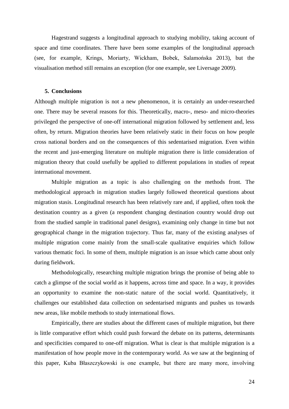Hagestrand suggests a longitudinal approach to studying mobility, taking account of space and time coordinates. There have been some examples of the longitudinal approach (see, for example, Krings, Moriarty, Wickham, Bobek, Salamońska 2013), but the visualisation method still remains an exception (for one example, see Liversage 2009).

#### <span id="page-23-0"></span>**5. Conclusions**

Although multiple migration is not a new phenomenon, it is certainly an under-researched one. There may be several reasons for this. Theoretically, macro-, meso- and micro-theories privileged the perspective of one-off international migration followed by settlement and, less often, by return. Migration theories have been relatively static in their focus on how people cross national borders and on the consequences of this sedentarised migration. Even within the recent and just-emerging literature on multiple migration there is little consideration of migration theory that could usefully be applied to different populations in studies of repeat international movement.

Multiple migration as a topic is also challenging on the methods front. The methodological approach in migration studies largely followed theoretical questions about migration stasis. Longitudinal research has been relatively rare and, if applied, often took the destination country as a given (a respondent changing destination country would drop out from the studied sample in traditional panel designs), examining only change in time but not geographical change in the migration trajectory. Thus far, many of the existing analyses of multiple migration come mainly from the small-scale qualitative enquiries which follow various thematic foci. In some of them, multiple migration is an issue which came about only during fieldwork.

Methodologically, researching multiple migration brings the promise of being able to catch a glimpse of the social world as it happens, across time and space. In a way, it provides an opportunity to examine the non-static nature of the social world. Quantitatively, it challenges our established data collection on sedentarised migrants and pushes us towards new areas, like mobile methods to study international flows.

Empirically, there are studies about the different cases of multiple migration, but there is little comparative effort which could push forward the debate on its patterns, determinants and specificities compared to one-off migration. What is clear is that multiple migration is a manifestation of how people move in the contemporary world. As we saw at the beginning of this paper, Kuba Błaszczykowski is one example, but there are many more, involving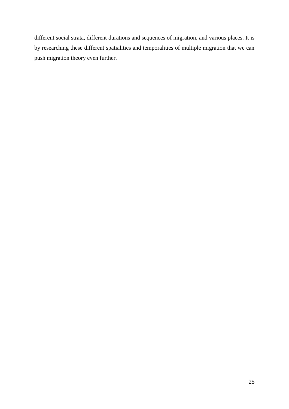different social strata, different durations and sequences of migration, and various places. It is by researching these different spatialities and temporalities of multiple migration that we can push migration theory even further.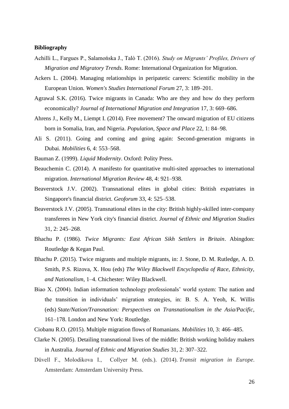#### <span id="page-25-0"></span>**Bibliography**

- Achilli L., Fargues P., Salamońska J., Talò T. (2016). *Study on Migrants' Profiles, Drivers of Migration and Migratory Trends*. Rome: International Organization for Migration.
- Ackers L. (2004). Managing relationships in peripatetic careers: Scientific mobility in the European Union. *Women's Studies International Forum* 27, 3: 189–201.
- Agrawal S.K. (2016). Twice migrants in Canada: Who are they and how do they perform economically? *Journal of International Migration and Integration* 17, 3: 669–686.
- Ahrens J., Kelly M., Liempt I. (2014). Free movement? The onward migration of EU citizens born in Somalia, Iran, and Nigeria. *Population, Space and Place* 22, 1: 84–98.
- Ali S. (2011). Going and coming and going again: Second-generation migrants in Dubai. *Mobilities* 6, 4: 553–568.
- Bauman Z. (1999). *Liquid Modernity*. Oxford: Polity Press.
- Beauchemin C. (2014). A manifesto for quantitative multi-sited approaches to international migration. *International Migration Review* 48, 4: 921–938.
- Beaverstock J.V. (2002). Transnational elites in global cities: British expatriates in Singapore's financial district. *Geoforum* 33, 4: 525–538.
- Beaverstock J.V. (2005). Transnational elites in the city: British highly-skilled inter-company transferees in New York city's financial district. *Journal of Ethnic and Migration Studies* 31, 2: 245–268.
- Bhachu P. (1986). *Twice Migrants: East African Sikh Settlers in Britain*. Abingdon: Routledge & Kegan Paul.
- Bhachu P. (2015). Twice migrants and multiple migrants, in: J. Stone, D. M. Rutledge, A. D. Smith, P.S. Rizova, X. Hou (eds) *The Wiley Blackwell Encyclopedia of Race, Ethnicity, and Nationalism*, 1–4. Chichester: Wiley Blackwell.
- Biao X. (2004). Indian information technology professionals' world system: The nation and the transition in individuals' migration strategies, in: B. S. A. Yeoh, K. Willis (eds) *State/Nation/Transnation: Perspectives on Transnationalism in the Asia/Pacific*, 161–178. London and New York: Routledge.
- Ciobanu R.O. (2015). Multiple migration flows of Romanians. *Mobilities* 10, 3: 466–485.
- Clarke N. (2005). Detailing transnational lives of the middle: British working holiday makers in Australia. *Journal of Ethnic and Migration Studies* 31, 2: 307–322.
- Düvell F., Molodikova I., Collyer M. (eds.). (2014). *Transit migration in Europe*. Amsterdam: Amsterdam University Press.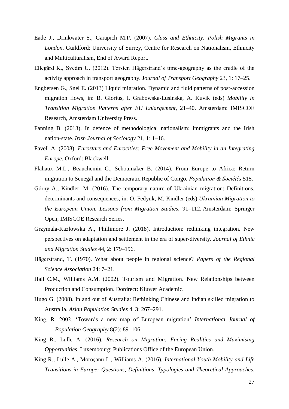- Eade J., Drinkwater S., Garapich M.P. (2007). *Class and Ethnicity: Polish Migrants in London*. Guildford: University of Surrey, Centre for Research on Nationalism, Ethnicity and Multiculturalism, End of Award Report.
- Ellegård K., Svedin U. (2012). Torsten Hägerstrand's time-geography as the cradle of the activity approach in transport geography. J*ournal of Transport Geography* 23, 1: 17–25.
- Engbersen G., Snel E. (2013) Liquid migration. Dynamic and fluid patterns of post-accession migration flows, in: B. Glorius, I. Grabowska-Lusinska, A. Kuvik (eds) *Mobility in Transition Migration Patterns after EU Enlargement*, 21–40. Amsterdam: IMISCOE Research, Amsterdam University Press.
- Fanning B. (2013). In defence of methodological nationalism: immigrants and the Irish nation-state. *Irish Journal of Sociology* 21, 1: 1–16.
- Favell A. (2008). *Eurostars and Eurocities: Free Movement and Mobility in an Integrating Europe*. Oxford: Blackwell.
- Flahaux M.L., Beauchemin C., Schoumaker B. (2014). From Europe to Africa: Return migration to Senegal and the Democratic Republic of Congo. *Population & Sociétés* 515.
- Górny A., Kindler, M. (2016). The temporary nature of Ukrainian migration: Definitions, determinants and consequences, in: O. Fedyuk, M. Kindler (eds) *Ukrainian Migration to the European Union. Lessons from Migration Studies*, 91–112. Amsterdam: Springer Open, IMISCOE Research Series.
- Grzymala-Kazlowska A., Phillimore J. (2018). Introduction: rethinking integration. New perspectives on adaptation and settlement in the era of super-diversity. *Journal of Ethnic and Migration Studies* 44, 2: 179–196.
- Hägerstrand, T. (1970). What about people in regional science? *Papers of the Regional Science Association* 24: 7–21.
- Hall C.M., Williams A.M. (2002). Tourism and Migration. New Relationships between Production and Consumption. Dordrect: Kluwer Academic.
- Hugo G. (2008). In and out of Australia: Rethinking Chinese and Indian skilled migration to Australia. *Asian Population Studies* 4, 3: 267–291.
- King, R. 2002. 'Towards a new map of European migration' *International Journal of Population Geography* [8\(2\):](http://onlinelibrary.wiley.com/doi/10.1002/ijpg.v8:2/issuetoc) 89–106.
- King R., Lulle A. (2016). *Research on Migration: Facing Realities and Maximising Opportunities*. Luxembourg: Publications Office of the European Union.
- King R., Lulle A., Moroşanu L., Williams A. (2016). *International Youth Mobility and Life Transitions in Europe: Questions, Definitions, Typologies and Theoretical Approaches*.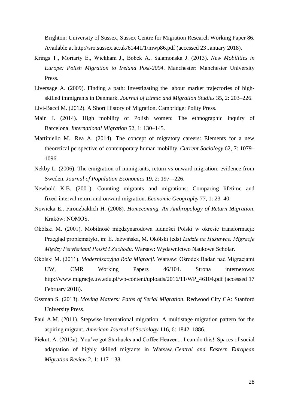Brighton: University of Sussex, Sussex Centre for Migration Research Working Paper 86. Available at http://sro.sussex.ac.uk/61441/1/mwp86.pdf (accessed 23 January 2018).

- Krings T., Moriarty E., Wickham J., Bobek A., Salamońska J. (2013). *New Mobilities in Europe: Polish Migration to Ireland Post-2004*. Manchester: Manchester University Press.
- Liversage A. (2009). Finding a path: Investigating the labour market trajectories of highskilled immigrants in Denmark. *Journal of Ethnic and Migration Studies* 35, 2: 203–226.
- Livi-Bacci M. (2012). A Short History of Migration. Cambridge: Polity Press.
- Main I. (2014). High mobility of Polish women: The ethnographic inquiry of Barcelona. *International Migration* 52, 1: 130–145.
- Martiniello M., Rea A. (2014). The concept of migratory careers: Elements for a new theoretical perspective of contemporary human mobility. *Current Sociology* 62, 7: 1079– 1096.
- Nekby L. (2006). The emigration of immigrants, return vs onward migration: evidence from Sweden. *Journal of Population Economics* 19, 2: 197–-226.
- Newbold K.B. (2001). Counting migrants and migrations: Comparing lifetime and fixed‐interval return and onward migration. *Economic Geography* 77, 1: 23–40.
- Nowicka E., Firouzbakhch H. (2008). *Homecoming. An Anthropology of Return Migration*. Kraków: NOMOS.
- Okólski M. (2001). Mobilność międzynarodowa ludności Polski w okresie transformacji: Przegląd problematyki, in: E. Jaźwińska, M. Okólski (eds) *Ludzie na Huśtawce. Migracje Między Peryferiami Polski i Zachodu*. Warsaw: Wydawnictwo Naukowe Scholar.
- Okólski M. (2011). *Modernizacyjna Rola Migracji*. Warsaw: Ośrodek Badań nad Migracjami UW, CMR Working Papers 46/104. Strona internetowa: http://www.migracje.uw.edu.pl/wp-content/uploads/2016/11/WP\_46104.pdf (accessed 17 February 2018).
- Ossman S. (2013). *Moving Matters: Paths of Serial Migration*. Redwood City CA: Stanford University Press.
- Paul A.M. (2011). Stepwise international migration: A multistage migration pattern for the aspiring migrant. *American Journal of Sociology* 116, 6: 1842–1886.
- Piekut, A. (2013a). You've got Starbucks and Coffee Heaven... I can do this!' Spaces of social adaptation of highly skilled migrants in Warsaw. *Central and Eastern European Migration Review* 2, 1: 117–138.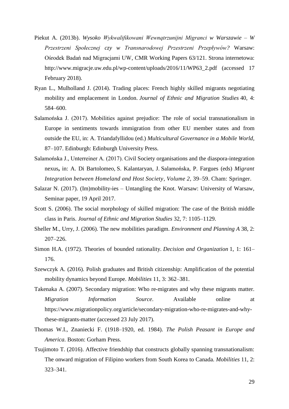- Piekut A. (2013b). *Wysoko Wykwalifikowani Wewnątrzunijni Migranci w Warszawie – W Przestrzeni Społecznej czy w Transnarodowej Przestrzeni Przepływów?* Warsaw: Ośrodek Badań nad Migracjami UW, CMR Working Papers 63/121. Strona internetowa: http://www.migracje.uw.edu.pl/wp-content/uploads/2016/11/WP63\_2.pdf (accessed 17 February 2018).
- Ryan L., Mulholland J. (2014). Trading places: French highly skilled migrants negotiating mobility and emplacement in London. *Journal of Ethnic and Migration Studies* 40, 4: 584–600.
- Salamońska J. (2017). Mobilities against prejudice: The role of social transnationalism in Europe in sentiments towards immigration from other EU member states and from outside the EU, in: A. Triandafyllidou (ed.) *Multicultural Governance in a Mobile World*, 87–107. Edinburgh: Edinburgh University Press.
- Salamońska J., Unterreiner A. (2017). Civil Society organisations and the diaspora-integration nexus**,** in: A. Di Bartolomeo, S. Kalantaryan, J. Salamońska, P. Fargues (eds) *Migrant Integration between Homeland and Host Society, Volume 2*, 39–59. Cham: Springer.
- Salazar N. (2017). (Im)mobility-ies Untangling the Knot. Warsaw: University of Warsaw, Seminar paper, 19 April 2017.
- Scott S. (2006). The social morphology of skilled migration: The case of the British middle class in Paris. *Journal of Ethnic and Migration Studies* 32, 7: 1105–1129.
- Sheller M., Urry, J. (2006). The new mobilities paradigm. *Environment and Planning A* 38, 2: 207–226.
- Simon H.A. (1972). Theories of bounded rationality. *Decision and Organization* 1, 1: 161– 176.
- Szewczyk A. (2016). Polish graduates and British citizenship: Amplification of the potential mobility dynamics beyond Europe. *Mobilities* 11, 3: 362–381.
- Takenaka A. (2007). Secondary migration: Who re-migrates and why these migrants matter. *Migration Information Source*. Available online at https://www.migrationpolicy.org/article/secondary-migration-who-re-migrates-and-whythese-migrants-matter (accessed 23 July 2017).
- Thomas W.I., Znaniecki F. (1918–1920, ed. 1984). *The Polish Peasant in Europe and America*. Boston: Gorham Press.
- Tsujimoto T. (2016). Affective friendship that constructs globally spanning transnationalism: The onward migration of Filipino workers from South Korea to Canada. *Mobilities* 11, 2: 323–341.